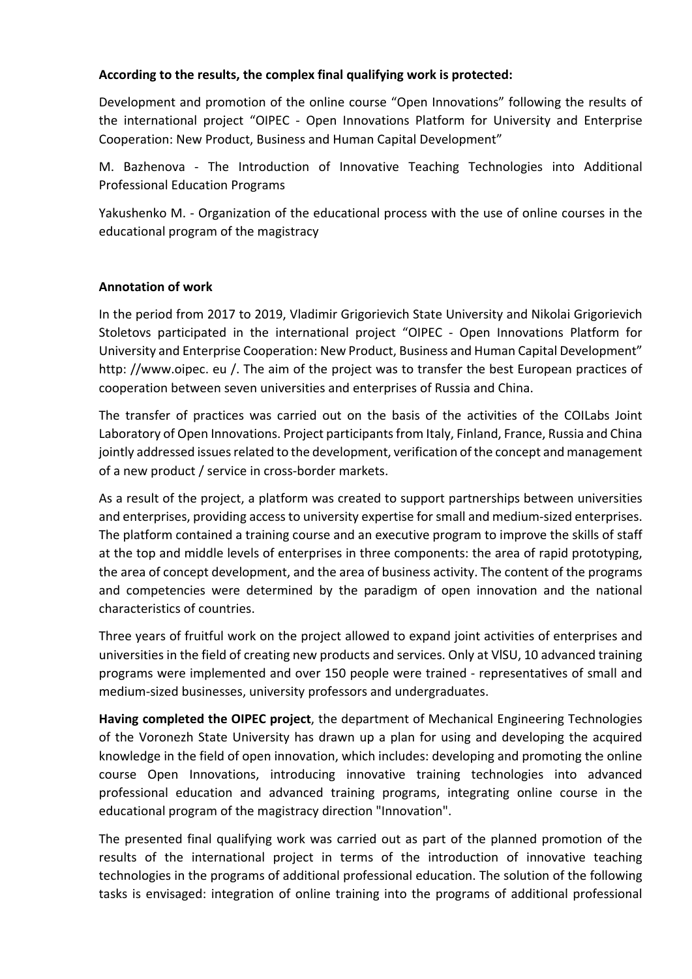## **According to the results, the complex final qualifying work is protected:**

Development and promotion of the online course "Open Innovations" following the results of the international project "OIPEC - Open Innovations Platform for University and Enterprise Cooperation: New Product, Business and Human Capital Development"

M. Bazhenova - The Introduction of Innovative Teaching Technologies into Additional Professional Education Programs

Yakushenko M. - Organization of the educational process with the use of online courses in the educational program of the magistracy

## **Annotation of work**

In the period from 2017 to 2019, Vladimir Grigorievich State University and Nikolai Grigorievich Stoletovs participated in the international project "OIPEC - Open Innovations Platform for University and Enterprise Cooperation: New Product, Business and Human Capital Development" http: //www.oipec. eu /. The aim of the project was to transfer the best European practices of cooperation between seven universities and enterprises of Russia and China.

The transfer of practices was carried out on the basis of the activities of the COILabs Joint Laboratory of Open Innovations. Project participants from Italy, Finland, France, Russia and China jointly addressed issues related to the development, verification of the concept and management of a new product / service in cross-border markets.

As a result of the project, a platform was created to support partnerships between universities and enterprises, providing access to university expertise for small and medium-sized enterprises. The platform contained a training course and an executive program to improve the skills of staff at the top and middle levels of enterprises in three components: the area of rapid prototyping, the area of concept development, and the area of business activity. The content of the programs and competencies were determined by the paradigm of open innovation and the national characteristics of countries.

Three years of fruitful work on the project allowed to expand joint activities of enterprises and universities in the field of creating new products and services. Only at VlSU, 10 advanced training programs were implemented and over 150 people were trained - representatives of small and medium-sized businesses, university professors and undergraduates.

**Having completed the OIPEC project**, the department of Mechanical Engineering Technologies of the Voronezh State University has drawn up a plan for using and developing the acquired knowledge in the field of open innovation, which includes: developing and promoting the online course Open Innovations, introducing innovative training technologies into advanced professional education and advanced training programs, integrating online course in the educational program of the magistracy direction "Innovation".

The presented final qualifying work was carried out as part of the planned promotion of the results of the international project in terms of the introduction of innovative teaching technologies in the programs of additional professional education. The solution of the following tasks is envisaged: integration of online training into the programs of additional professional